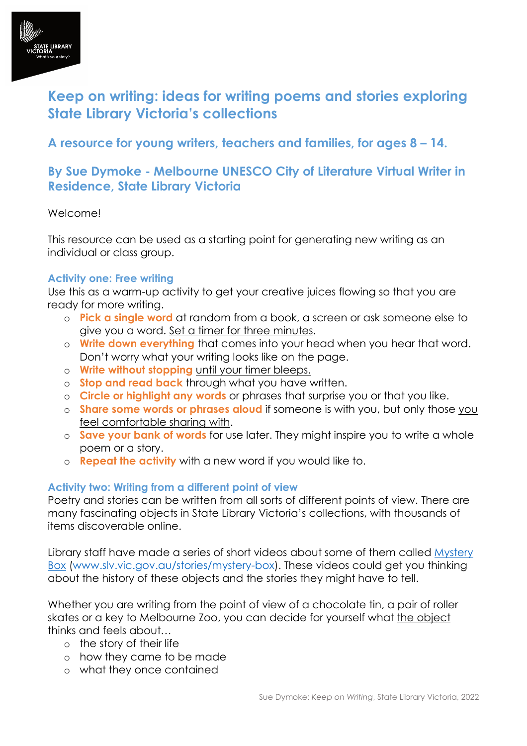

# **Keep on writing: ideas for writing poems and stories exploring State Library Victoria's collections**

**A resource for young writers, teachers and families, for ages 8 – 14.** 

## **By Sue Dymoke - Melbourne UNESCO City of Literature Virtual Writer in Residence, State Library Victoria**

### Welcome!

This resource can be used as a starting point for generating new writing as an individual or class group.

### **Activity one: Free writing**

Use this as a warm-up activity to get your creative juices flowing so that you are ready for more writing.

- o **Pick a single word** at random from a book, a screen or ask someone else to give you a word. Set a timer for three minutes.
- o **Write down everything** that comes into your head when you hear that word. Don't worry what your writing looks like on the page.
- o **Write without stopping** until your timer bleeps.
- o **Stop and read back** through what you have written.
- o **Circle or highlight any words** or phrases that surprise you or that you like.
- o **Share some words or phrases aloud** if someone is with you, but only those you feel comfortable sharing with.
- o **Save your bank of words** for use later. They might inspire you to write a whole poem or a story.
- o **Repeat the activity** with a new word if you would like to.

### **Activity two: Writing from a different point of view**

Poetry and stories can be written from all sorts of different points of view. There are many fascinating objects in State Library Victoria's collections, with thousands of items discoverable online.

Library staff have made a series of short videos about some of them called [Mystery](https://www.slv.vic.gov.au/stories/mystery-box)  [Box](https://www.slv.vic.gov.au/stories/mystery-box) [\(www.slv.vic.gov.au/stories/mystery-box\)](http://www.slv.vic.gov.au/stories/mystery-box). These videos could get you thinking about the history of these objects and the stories they might have to tell.

Whether you are writing from the point of view of a chocolate tin, a pair of roller skates or a key to Melbourne Zoo, you can decide for yourself what the object thinks and feels about…

- o the story of their life
- o how they came to be made
- o what they once contained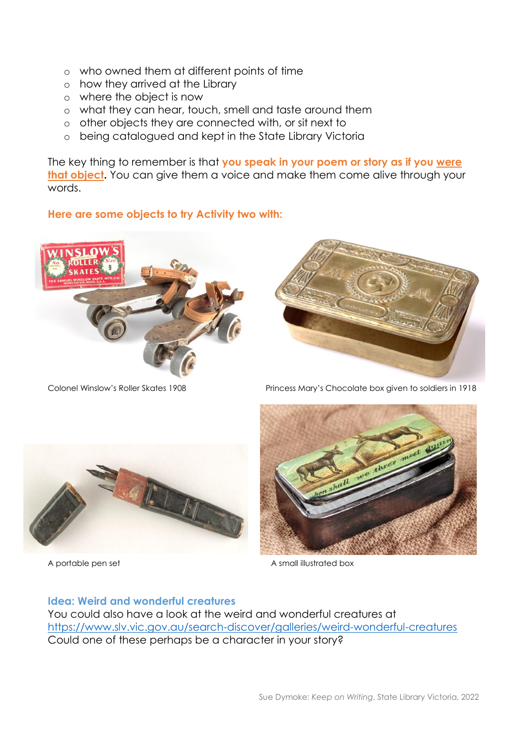- o who owned them at different points of time
- o how they arrived at the Library
- o where the object is now
- o what they can hear, touch, smell and taste around them
- o other objects they are connected with, or sit next to
- o being catalogued and kept in the State Library Victoria

The key thing to remember is that **you speak in your poem or story as if you were that object.** You can give them a voice and make them come alive through your words.

### **Here are some objects to try Activity two with:**





Colonel Winslow's Roller Skates 1908 Princess Mary's Chocolate box given to soldiers in 1918





A portable pen set A small illustrated box

#### **Idea: Weird and wonderful creatures**

You could also have a look at the weird and wonderful creatures at <https://www.slv.vic.gov.au/search-discover/galleries/weird-wonderful-creatures> Could one of these perhaps be a character in your story?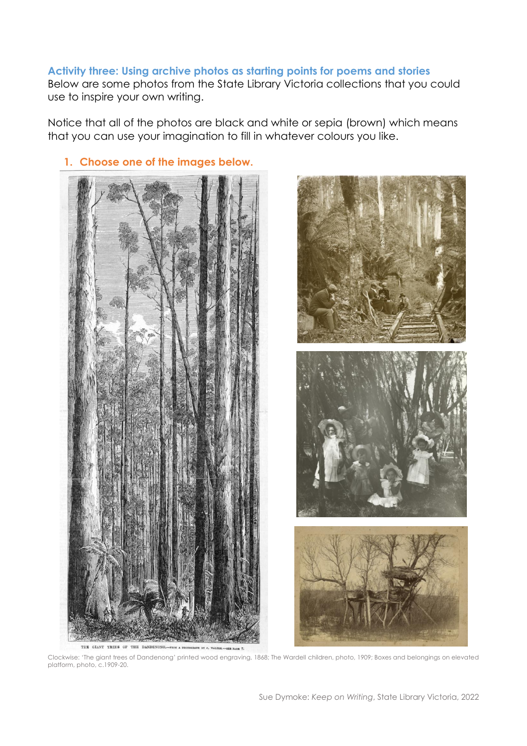### **Activity three: Using archive photos as starting points for poems and stories**

Below are some photos from the State Library Victoria collections that you could use to inspire your own writing.

Notice that all of the photos are black and white or sepia (brown) which means that you can use your imagination to fill in whatever colours you like.





#### **1. Choose one of the images below.**

Clockwise: 'The giant trees of Dandenong' printed wood engraving, 1868; The Wardell children, photo, 1909; Boxes and belongings on elevated platform, photo, c.1909-20.